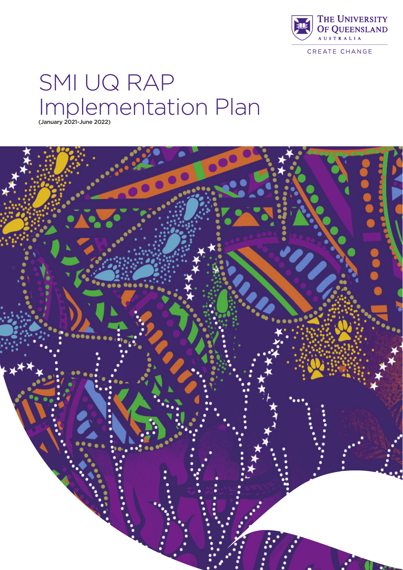

CREATE CHANGE

# SMI UQ RAP Implementation Plan (January 2021-June 2022)

...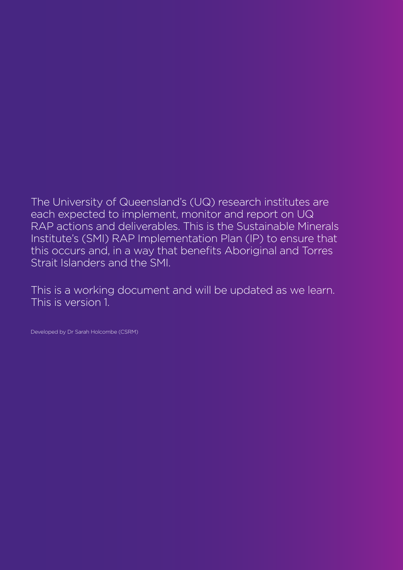The University of Queensland's (UQ) research institutes are each expected to implement, monitor and report on UQ RAP actions and deliverables. This is the Sustainable Minerals Institute's (SMI) RAP Implementation Plan (IP) to ensure that this occurs and, in a way that benefits Aboriginal and Torres Strait Islanders and the SMI.

This is a working document and will be updated as we learn. This is version 1.

Developed by Dr Sarah Holcombe (CSRM)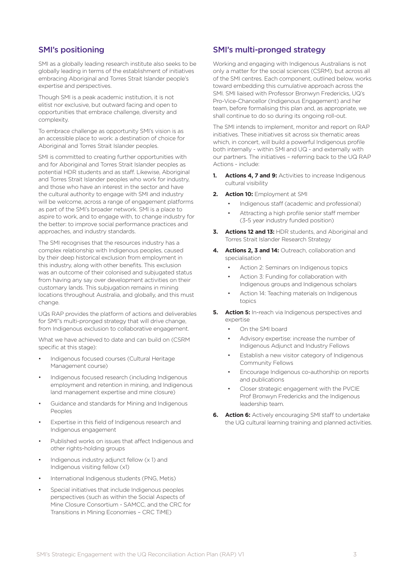# SMI's positioning

SMI as a globally leading research institute also seeks to be globally leading in terms of the establishment of initiatives embracing Aboriginal and Torres Strait Islander people's expertise and perspectives.

Though SMI is a peak academic institution, it is not elitist nor exclusive, but outward facing and open to opportunities that embrace challenge, diversity and complexity.

To embrace challenge as opportunity SMI's vision is as an accessible place to work: a destination of choice for Aboriginal and Torres Strait Islander peoples.

SMI is committed to creating further opportunities with and for Aboriginal and Torres Strait Islander peoples as potential HDR students and as staff. Likewise, Aboriginal and Torres Strait Islander peoples who work for industry, and those who have an interest in the sector and have the cultural authority to engage with SMI and industry will be welcome, across a range of engagement platforms as part of the SMI's broader network. SMI is a place to aspire to work, and to engage with, to change industry for the better: to improve social performance practices and approaches, and industry standards.

The SMI recognises that the resources industry has a complex relationship with Indigenous peoples, caused by their deep historical exclusion from employment in this industry, along with other benefits. This exclusion was an outcome of their colonised and subjugated status from having any say over development activities on their customary lands. This subjugation remains in mining locations throughout Australia, and globally, and this must change.

UQs RAP provides the platform of actions and deliverables for SMI"s multi-pronged strategy that will drive change, from Indigenous exclusion to collaborative engagement.

What we have achieved to date and can build on (CSRM specific at this stage):

- Indigenous focused courses (Cultural Heritage Management course)
- Indigenous focused research (including Indigenous employment and retention in mining, and Indigenous land management expertise and mine closure)
- Guidance and standards for Mining and Indigenous Peoples
- Expertise in this field of Indigenous research and Indigenous engagement
- Published works on issues that affect Indigenous and other rights-holding groups
- Indigenous industry adjunct fellow (x 1) and Indigenous visiting fellow (x1)
- International Indigenous students (PNG, Metis)
- Special initiatives that include Indigenous peoples perspectives (such as within the Social Aspects of Mine Closure Consortium - SAMCC, and the CRC for Transitions in Mining Economies – CRC TiME)

# SMI's multi-pronged strategy

Working and engaging with Indigenous Australians is not only a matter for the social sciences (CSRM), but across all of the SMI centres. Each component, outlined below, works toward embedding this cumulative approach across the SMI. SMI liaised with Professor Bronwyn Fredericks, UQ's Pro-Vice-Chancellor (Indigenous Engagement) and her team, before formalising this plan and, as appropriate, we shall continue to do so during its ongoing roll-out.

The SMI intends to implement, monitor and report on RAP initiatives. These initiatives sit across six thematic areas which, in concert, will build a powerful Indigenous profile both internally - within SMI and UQ - and externally with our partners. The initiatives – referring back to the UQ RAP Actions - include:

- **1. Actions 4, 7 and 9:** Activities to increase Indigenous cultural visibility
- **2. Action 10:** Employment at SMI
	- Indigenous staff (academic and professional)
	- Attracting a high profile senior staff member (3-5 year industry funded position)
- **3. Actions 12 and 13:** HDR students, and Aboriginal and Torres Strait Islander Research Strategy
- **4. Actions 2, 3 and 14:** Outreach, collaboration and specialisation
	- Action 2: Seminars on Indigenous topics
	- Action 3: Funding for collaboration with Indigenous groups and Indigenous scholars
	- Action 14: Teaching materials on Indigenous topics
- **5. Action 5:** In-reach via Indigenous perspectives and expertise
	- On the SMI board
	- Advisory expertise: increase the number of Indigenous Adjunct and Industry Fellows
	- Establish a new visitor category of Indigenous Community Fellows
	- Encourage Indigenous co-authorship on reports and publications
	- Closer strategic engagement with the PVCIE Prof Bronwyn Fredericks and the Indigenous leadership team.
- **6. Action 6:** Actively encouraging SMI staff to undertake the UQ cultural learning training and planned activities.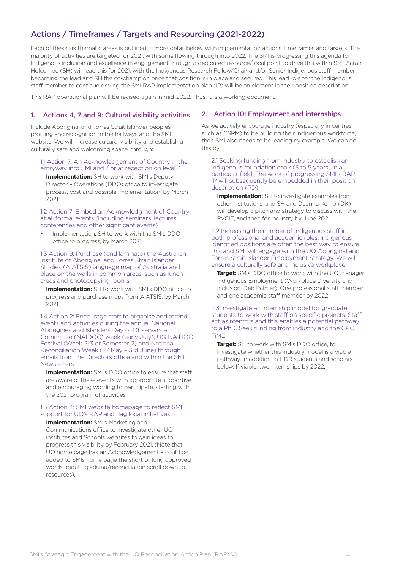# Actions / Timeframes / Targets and Resourcing (2021-2022)

Each of these six thematic areas is outlined in more detail below, with implementation actions, timeframes and targets. The majority of activities are targeted for 2021, with some flowing through into 2022. The SMI is progressing this agenda for Indigenous inclusion and excellence in engagement through a dedicated resource/focal point to drive this within SMI. Sarah Holcombe (SH) will lead this for 2021, with the Indigenous Research Fellow/Chair and/or Senior Indigenous staff member becoming the lead and SH the co-champion once that position is in place and secured. This lead role for the Indigenous staff member to continue driving the SMI RAP implementation plan (IP) will be an element in their position description.

This RAP operational plan will be revised again in mid-2022. Thus, it is a working document.

#### 1. Actions 4, 7 and 9: Cultural visibility activities

Include Aboriginal and Torres Strait Islander peoples profiling and recognition in the hallways and the SMI website. We will increase cultural visibility and establish a culturally safe and welcoming space, through:

#### 1.1 Action 7: An Acknowledgement of Country in the entryway into SMI and / or at reception on level 4

**Implementation:** SH to work with SMI's Deputy Director – Operations (DDO) office to investigate process, cost and possible implementation, by March 2021

#### 1.2 Action 7: Embed an Acknowledgment of Country at all formal events (including seminars, lectures conferences and other significant events)

• Implementation: SH to work with the SMIs DDO office to progress, by March 2021.

1.3 Action 9: Purchase (and laminate) the Australian Institute of Aboriginal and Torres Strait Islander Studies (AIATSIS) language map of Australia and place on the walls in common areas, such as lunch areas and photocopying rooms

**Implementation:** SH to work with SMI's DDO office to progress and purchase maps from AIATSIS, by March 2021

1.4 Action 2: Encourage staff to organise and attend events and activities during the annual National Aborigines and Islanders Day of Observance Committee (NAIDOC) week (early July), UQ NAIDOC Festival (Week 2-3 of Semester 2) and National Reconciliation Week (27 May – 3rd June) through emails from the Directors office and within the SMI **Newsletters** 

**Implementation:** SMI's DDO office to ensure that staff are aware of these events with appropriate supportive and encouraging wording to participate, starting with the 2021 program of activities.

#### 1.5 Action 4: SMI website homepage to reflect SMI support for UQ's RAP and flag local initiatives

**Implementation:** SMI's Marketing and Communications office to investigate other UQ institutes and Schools websites to gain ideas to progress this visibility by February 2021. (Note that UQ home page has an Acknowledgement – could be added to SMIs home page the short or long approved words about.uq.edu.au/reconciliation scroll down to resources).

#### 2. Action 10: Employment and internships

As we actively encourage industry (especially in centres such as CSRM) to be building their Indigenous workforce, then SMI also needs to be leading by example. We can do this by:

2.1 Seeking funding from industry to establish an Indigenous foundation chair (3 to 5 years) in a particular field. The work of progressing SMI's RAP IP will subsequently be embedded in their position description (PD)

**Implementation:** SH to investigate examples from other institutions, and SH and Deanna Kemp (DK) will develop a pitch and strategy to discuss with the PVCIE, and then for industry by June 2021.

2.2 Increasing the number of Indigenous staff in both professional and academic roles. Indigenous identified positions are often the best way to ensure this and SMI will engage with the UQ Aboriginal and Torres Strait Islander Employment Strategy. We will ensure a culturally safe and inclusive workplace

**Target:** SMIs DDO office to work with the UQ manager Indigenous Employment (Workplace Diversity and Inclusion, Deb Palmer). One professional staff member and one academic staff member by 2022.

2.3 Investigate an internship model for graduate students to work with staff on specific projects. Staff act as mentors and this enables a potential pathway to a PhD. Seek funding from industry and the CRC TiME

**Target:** SH to work with SMIs DDO office, to investigate whether this industry model is a viable pathway, in addition to HDR students and scholars below. If viable, two internships by 2022.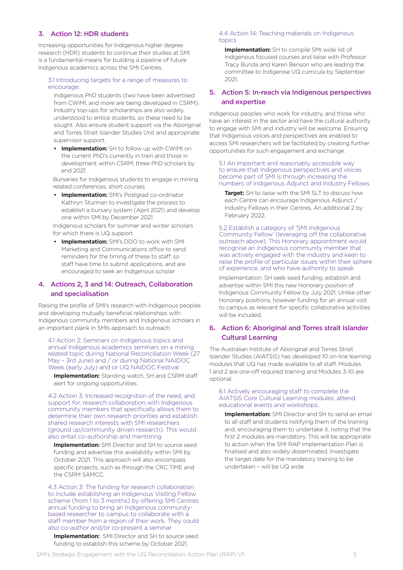## 3. Action 12: HDR students

Increasing opportunities for Indigenous higher degree research (HDR) students to continue their studies at SMI is a fundamental means for building a pipeline of future Indigenous academics across the SMI Centres.

#### 3.1 Introducing targets for a range of measures to encourage:

Indigenous PhD students (two have been advertised from CWiMI, and more are being developed in CSRM). Industry top-ups for scholarships are also widely understood to entice students, so these need to be sought. Also ensure student support via the Aboriginal and Torres Strait Islander Studies Unit and appropriate supervisor support.

**Implementation:** SH to follow up with CWiMI on the current PhD's currently in train and those in development within CSRM; three PhD scholars by end 2021.

Bursaries for Indigenous students to engage in mining related conferences, short courses

**• Implementation:** SMI's Postgrad co-ordinator Kathryn Sturman to investigate the process to establish a bursary system (April 2021) and develop one within SMI by December 2021

Indigenous scholars for summer and winter scholars for which there is UQ support

**• Implementation:** SMI's DDO to work with SMI Marketing and Communications office to send reminders for the timing of these to staff, so staff have time to submit applications, and are encouraged to seek an Indigenous scholar

## 4. Actions 2, 3 and 14: Outreach, Collaboration and specialisation

Raising the profile of SMI's research with Indigenous peoples and developing mutually beneficial relationships with Indigenous community members and Indigenous scholars in an important plank in SMIs approach to outreach.

4.1 Action 2: Seminars on Indigenous topics and annual Indigenous academics seminars on a mining related topic during National Reconciliation Week (27 May – 3rd June) and / or during National NAIDOC Week (early July) and or UQ NAIDOC Festival

**Implementation:** Standing watch, SH and CSRM staff alert for ongoing opportunities.

4.2 Action 3: Increased recognition of the need, and support for, research collaboration with Indigenous community members that specifically allows them to determine their own research priorities and establish shared research interests with SMI researchers (ground up/community driven research). This would also entail co-authorship and mentoring

**Implementation:** SMI Director and SH to source seed funding and advertise this availability within SMI by October 2021. This approach will also encompass specific projects, such as through the CRC TiME and the CSRM SAMCC.

4.3 Action 3: The funding for research collaboration to include establishing an Indigenous Visiting Fellow scheme (from 1 to 3 months) by offering SMI Centres annual funding to bring an Indigenous communitybased researcher to campus to collaborate with a staff member from a region of their work. They could also co-author and/or co-present a seminar

**Implementation:** SMI Director and SH to source seed funding to establish this scheme by October 2021.

#### 4.4 Action 14: Teaching materials on Indigenous topics

**Implementation:** SH to compile SMI wide list of Indigenous focused courses and liaise with Professor Tracy Bunda and Karen Benson who are leading the committee to Indigenise UQ curricula by September 2021.

### 5. Action 5: In-reach via Indigenous perspectives and expertise

Indigenous peoples who work for industry, and those who have an interest in the sector and have the cultural authority to engage with SMI and industry will be welcome. Ensuring that Indigenous voices and perspectives are enabled to access SMI researchers will be facilitated by creating further opportunities for such engagement and exchange.

5.1 An important and reasonably accessible way to ensure that Indigenous perspectives and voices become part of SMI is through increasing the numbers of Indigenous Adjunct and Industry Fellows

**Target:** SH to liaise with the SMI SLT to discuss how each Centre can encourage Indigenous Adjunct / Industry Fellows in their Centres. An additional 2 by February 2022.

5.2 Establish a category of 'SMI Indigenous Community Fellow' (leveraging off the collaborative outreach above). This Honorary appointment would recognise an Indigenous community member that was actively engaged with the industry and keen to raise the profile of particular issues within their sphere of experience, and who have authority to speak

Implementation: SH seek seed funding, establish and advertise within SMI this new Honorary position of Indigenous Community Fellow by July 2021. Unlike other Honorary positions, however funding for an annual visit to campus as relevant for specific collaborative activities will be included.

## 6. Action 6: Aboriginal and Torres strait Islander Cultural Learning

The Australian Institute of Aboriginal and Torres Strait Islander Studies (AIATSIS) has developed 10 on-line learning modules that UQ has made available to all staff. Modules 1 and 2 are one-off required training and Modules 3-10 are optional.

6.1 Actively encouraging staff to complete the AIATSIS Core Cultural Learning modules, attend educational events and workshops.

**Implementation:** SMI Director and SH to send an email to all staff and students notifying them of the training and, encouraging them to undertake it, noting that the first 2 modules are mandatory. This will be appropriate to action when the SMI RAP Implementation Plan is finalised and also widely disseminated. Investigate the target date for the mandatory training to be undertaken – will be UQ wide.